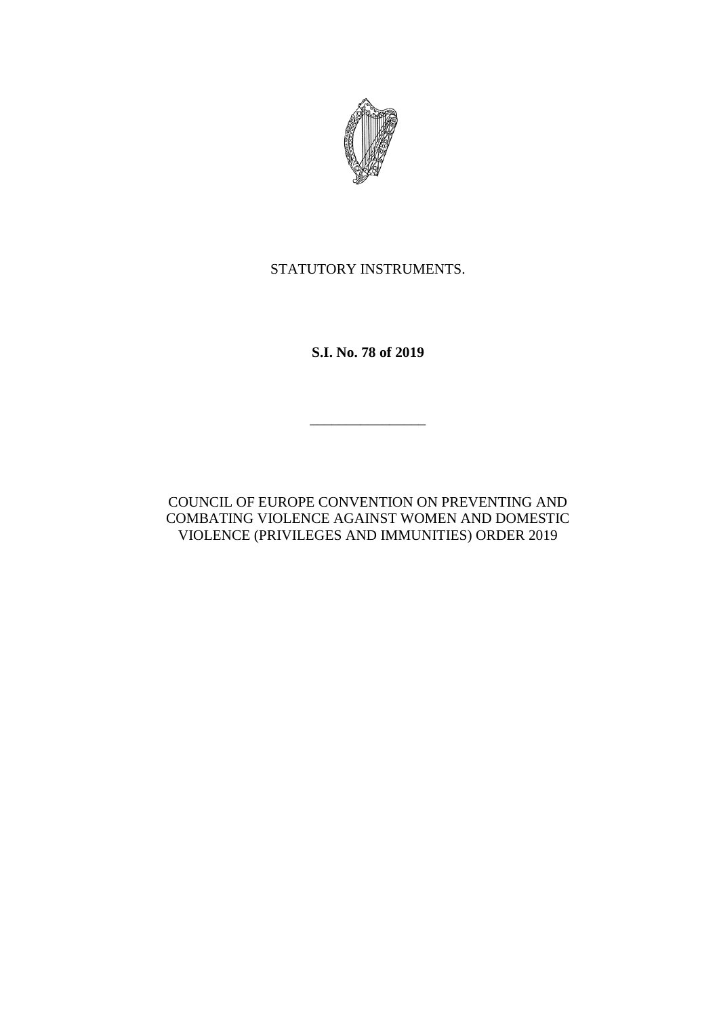

STATUTORY INSTRUMENTS.

**S.I. No. 78 of 2019**

\_\_\_\_\_\_\_\_\_\_\_\_\_\_\_\_

COUNCIL OF EUROPE CONVENTION ON PREVENTING AND COMBATING VIOLENCE AGAINST WOMEN AND DOMESTIC VIOLENCE (PRIVILEGES AND IMMUNITIES) ORDER 2019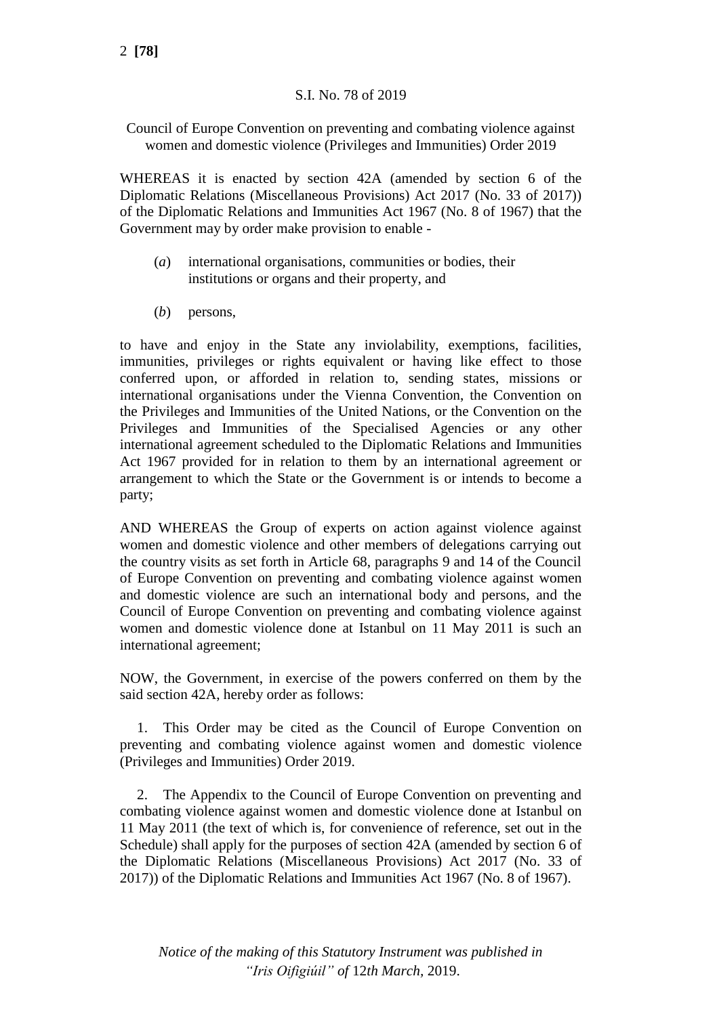## S.I. No. 78 of 2019

Council of Europe Convention on preventing and combating violence against women and domestic violence (Privileges and Immunities) Order 2019

WHEREAS it is enacted by section 42A (amended by section 6 of the Diplomatic Relations (Miscellaneous Provisions) Act 2017 (No. 33 of 2017)) of the Diplomatic Relations and Immunities Act 1967 (No. 8 of 1967) that the Government may by order make provision to enable -

- (*a*) international organisations, communities or bodies, their institutions or organs and their property, and
- (*b*) persons,

to have and enjoy in the State any inviolability, exemptions, facilities, immunities, privileges or rights equivalent or having like effect to those conferred upon, or afforded in relation to, sending states, missions or international organisations under the Vienna Convention, the Convention on the Privileges and Immunities of the United Nations, or the Convention on the Privileges and Immunities of the Specialised Agencies or any other international agreement scheduled to the Diplomatic Relations and Immunities Act 1967 provided for in relation to them by an international agreement or arrangement to which the State or the Government is or intends to become a party;

AND WHEREAS the Group of experts on action against violence against women and domestic violence and other members of delegations carrying out the country visits as set forth in Article 68, paragraphs 9 and 14 of the Council of Europe Convention on preventing and combating violence against women and domestic violence are such an international body and persons, and the Council of Europe Convention on preventing and combating violence against women and domestic violence done at Istanbul on 11 May 2011 is such an international agreement;

NOW, the Government, in exercise of the powers conferred on them by the said section 42A, hereby order as follows:

1. This Order may be cited as the Council of Europe Convention on preventing and combating violence against women and domestic violence (Privileges and Immunities) Order 2019.

2. The Appendix to the Council of Europe Convention on preventing and combating violence against women and domestic violence done at Istanbul on 11 May 2011 (the text of which is, for convenience of reference, set out in the Schedule) shall apply for the purposes of section 42A (amended by section 6 of the Diplomatic Relations (Miscellaneous Provisions) Act 2017 (No. 33 of 2017)) of the Diplomatic Relations and Immunities Act 1967 (No. 8 of 1967).

*Notice of the making of this Statutory Instrument was published in "Iris Oifigiúil" of* 12*th March,* 2019.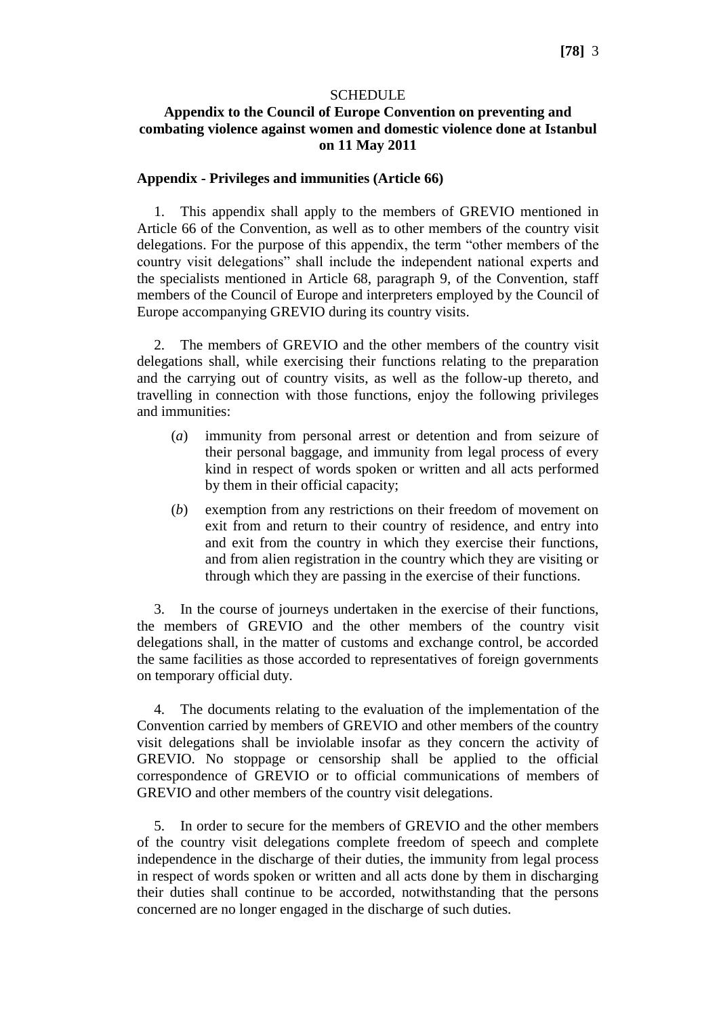#### SCHEDULE

### **Appendix to the Council of Europe Convention on preventing and combating violence against women and domestic violence done at Istanbul on 11 May 2011**

#### **Appendix - Privileges and immunities (Article 66)**

1. This appendix shall apply to the members of GREVIO mentioned in Article 66 of the Convention, as well as to other members of the country visit delegations. For the purpose of this appendix, the term "other members of the country visit delegations" shall include the independent national experts and the specialists mentioned in Article 68, paragraph 9, of the Convention, staff members of the Council of Europe and interpreters employed by the Council of Europe accompanying GREVIO during its country visits.

2. The members of GREVIO and the other members of the country visit delegations shall, while exercising their functions relating to the preparation and the carrying out of country visits, as well as the follow-up thereto, and travelling in connection with those functions, enjoy the following privileges and immunities:

- (*a*) immunity from personal arrest or detention and from seizure of their personal baggage, and immunity from legal process of every kind in respect of words spoken or written and all acts performed by them in their official capacity;
- (*b*) exemption from any restrictions on their freedom of movement on exit from and return to their country of residence, and entry into and exit from the country in which they exercise their functions, and from alien registration in the country which they are visiting or through which they are passing in the exercise of their functions.

3. In the course of journeys undertaken in the exercise of their functions, the members of GREVIO and the other members of the country visit delegations shall, in the matter of customs and exchange control, be accorded the same facilities as those accorded to representatives of foreign governments on temporary official duty.

4. The documents relating to the evaluation of the implementation of the Convention carried by members of GREVIO and other members of the country visit delegations shall be inviolable insofar as they concern the activity of GREVIO. No stoppage or censorship shall be applied to the official correspondence of GREVIO or to official communications of members of GREVIO and other members of the country visit delegations.

5. In order to secure for the members of GREVIO and the other members of the country visit delegations complete freedom of speech and complete independence in the discharge of their duties, the immunity from legal process in respect of words spoken or written and all acts done by them in discharging their duties shall continue to be accorded, notwithstanding that the persons concerned are no longer engaged in the discharge of such duties.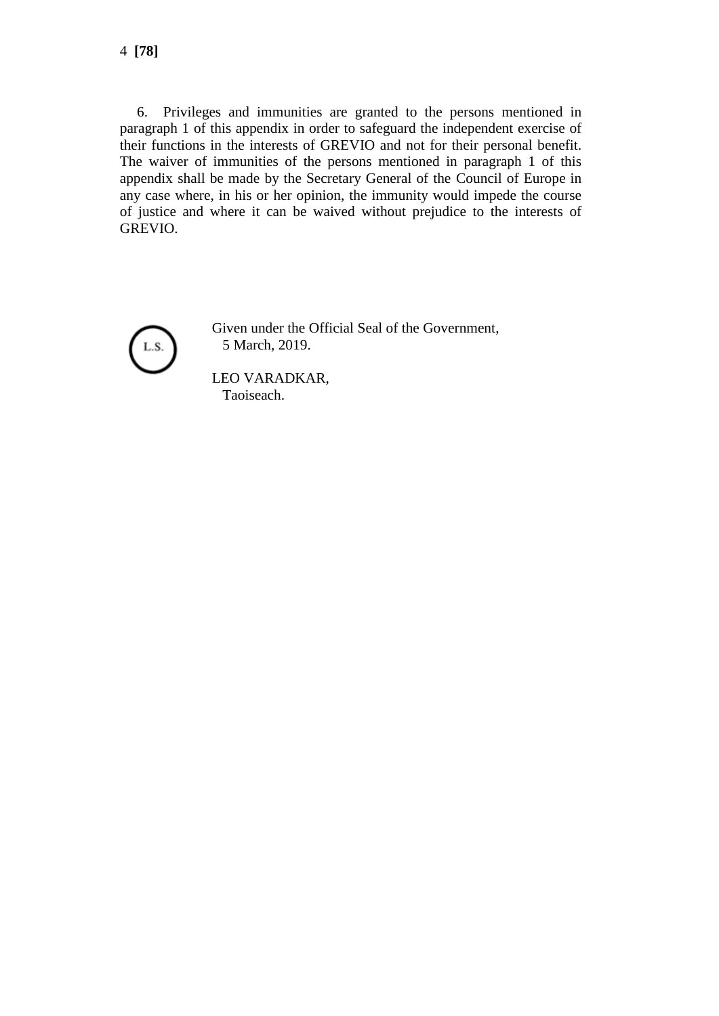6. Privileges and immunities are granted to the persons mentioned in paragraph 1 of this appendix in order to safeguard the independent exercise of their functions in the interests of GREVIO and not for their personal benefit. The waiver of immunities of the persons mentioned in paragraph 1 of this appendix shall be made by the Secretary General of the Council of Europe in any case where, in his or her opinion, the immunity would impede the course of justice and where it can be waived without prejudice to the interests of GREVIO.



Given under the Official Seal of the Government, 5 March, 2019.

LEO VARADKAR, Taoiseach.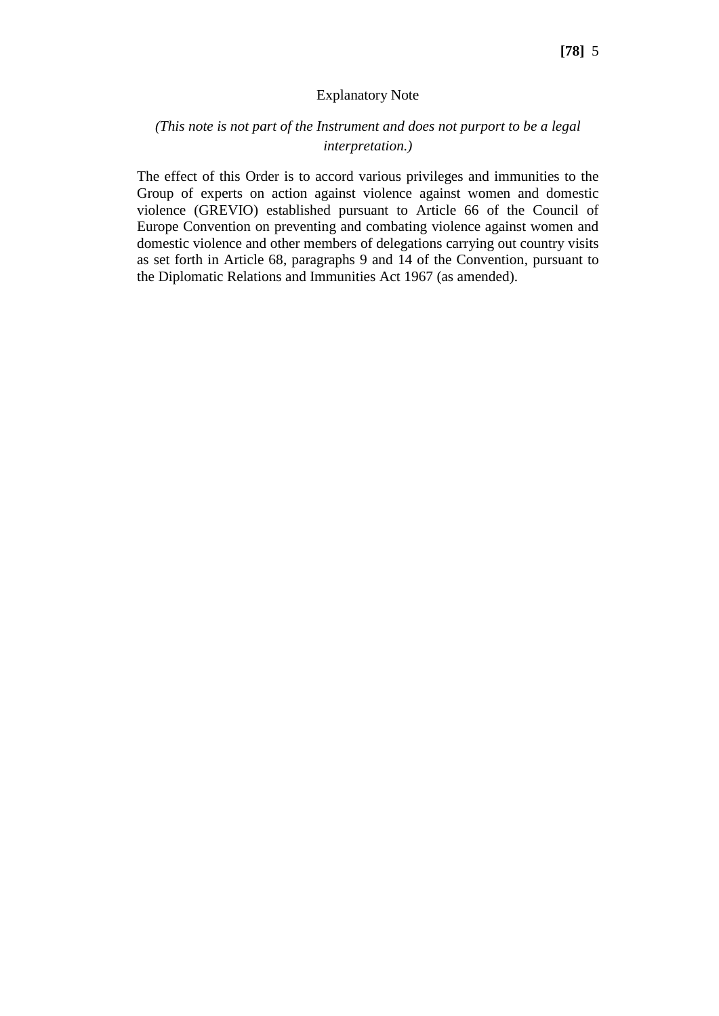#### Explanatory Note

# *(This note is not part of the Instrument and does not purport to be a legal interpretation.)*

The effect of this Order is to accord various privileges and immunities to the Group of experts on action against violence against women and domestic violence (GREVIO) established pursuant to Article 66 of the Council of Europe Convention on preventing and combating violence against women and domestic violence and other members of delegations carrying out country visits as set forth in Article 68, paragraphs 9 and 14 of the Convention, pursuant to the Diplomatic Relations and Immunities Act 1967 (as amended).